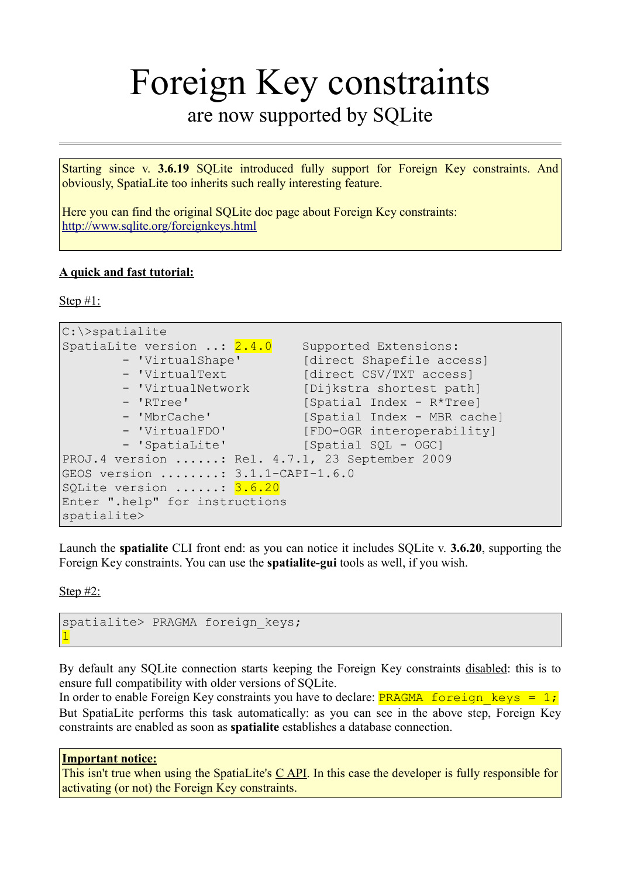## Foreign Key constraints are now supported by SQLite

Starting since v. **3.6.19** SQLite introduced fully support for Foreign Key constraints. And obviously, SpatiaLite too inherits such really interesting feature.

Here you can find the original SQLite doc page about Foreign Key constraints: <http://www.sqlite.org/foreignkeys.html>

## **A quick and fast tutorial:**

Step #1:

```
C:\>spatialite
SpatiaLite version ..: 2.4.0 Supported Extensions:
        - 'VirtualShape' [direct Shapefile access]<br>- 'VirtualText [direct CSV/TXT access]
         - 'VirtualText [direct CSV/TXT access]<br>- 'VirtualNetwork [Dijkstra shortest path
                                 [Dijkstra shortest path]
         - 'RTree' [Spatial Index - R*Tree]<br>- 'MbrCache' [Spatial Index - MRR cac
                                   [Spatial Index - MBR cache]
         - 'VirtualFDO' [FDO-OGR interoperability]
         - 'SpatiaLite' [Spatial SQL - OGC]
PROJ.4 version ......: Rel. 4.7.1, 23 September 2009
GEOS version ........: 3.1.1-CAPI-1.6.0
SOLite version ......: 3.6.20
Enter ".help" for instructions
spatialite>
```
Launch the **spatialite** CLI front end: as you can notice it includes SQLite v. **3.6.20**, supporting the Foreign Key constraints. You can use the **spatialite-gui** tools as well, if you wish.

Step #2:

```
spatialite> PRAGMA foreign keys;
1
```
By default any SQLite connection starts keeping the Foreign Key constraints disabled: this is to ensure full compatibility with older versions of SQLite.

In order to enable Foreign Key constraints you have to declare: PRAGMA foreign keys = 1; But SpatiaLite performs this task automatically: as you can see in the above step, Foreign Key constraints are enabled as soon as **spatialite** establishes a database connection.

## **Important notice:**

This isn't true when using the SpatiaLite's  $C$  API. In this case the developer is fully responsible for activating (or not) the Foreign Key constraints.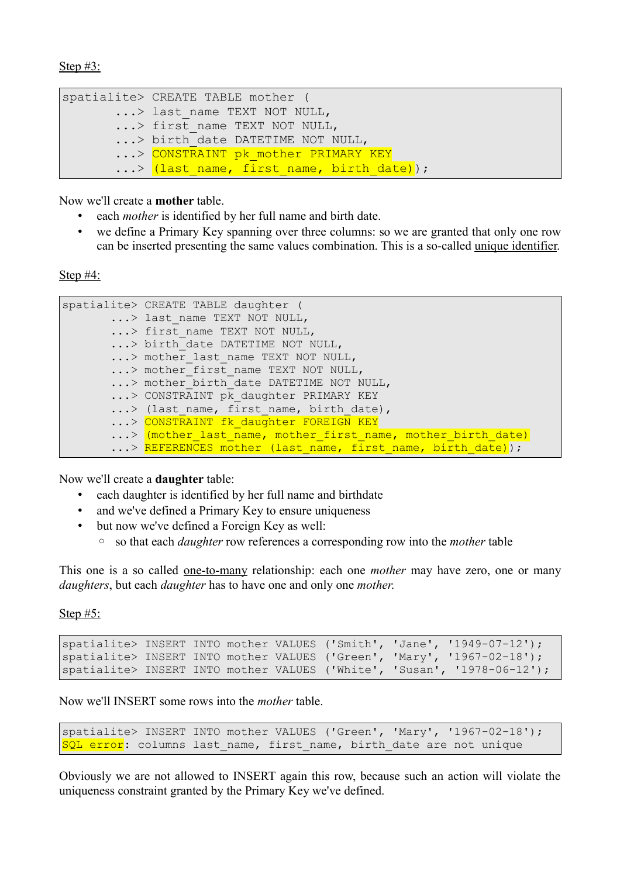```
spatialite> CREATE TABLE mother (
        ...> last name TEXT NOT NULL,
        ...> first name TEXT NOT NULL,
        ...> birth date DATETIME NOT NULL,
        ...> CONSTRAINT pk mother PRIMARY KEY
        ...> \overline{(\text{last name}, \text{first name}, \text{birth date})});
```
Now we'll create a **mother** table.

- each *mother* is identified by her full name and birth date.
- we define a Primary Key spanning over three columns: so we are granted that only one row can be inserted presenting the same values combination. This is a so-called unique identifier.

Step #4:

```
spatialite> CREATE TABLE daughter (
      ...> last name TEXT NOT NULL,
       ...> first name TEXT NOT NULL,
       ...> birth_date_DATETIME NOT NULL,
       ...> mother_last_name TEXT NOT NULL,
       ...> mother first name TEXT NOT NULL,
       ...> mother_birth_date DATETIME NOT NULL,
       ...> CONSTRAINT pk daughter PRIMARY KEY
       ...> (last name, first name, birth date),
       ...> CONSTRAINT fk daughter FOREIGN KEY
       ...> (mother last name, mother first name, mother birth date)
       ...> REFERENCES mother (last name, first name, birth date));
```
Now we'll create a **daughter** table:

- each daughter is identified by her full name and birthdate
- and we've defined a Primary Key to ensure uniqueness
- but now we've defined a Foreign Key as well:
	- so that each *daughter* row references a corresponding row into the *mother* table

This one is a so called one-to-many relationship: each one *mother* may have zero, one or many *daughters*, but each *daughter* has to have one and only one *mother*.

Step #5:

```
spatialite> INSERT INTO mother VALUES ('Smith', 'Jane', '1949-07-12');
spatialite> INSERT INTO mother VALUES ('Green', 'Mary', '1967-02-18');
spatialite> INSERT INTO mother VALUES ('White', 'Susan', '1978-06-12');
```
Now we'll INSERT some rows into the *mother* table.

```
spatialite> INSERT INTO mother VALUES ('Green', 'Mary', '1967-02-18');
SQL error: columns last name, first name, birth date are not unique
```
Obviously we are not allowed to INSERT again this row, because such an action will violate the uniqueness constraint granted by the Primary Key we've defined.